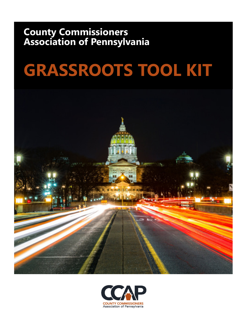# **County Commissioners Association of Pennsylvania**

# **GRASSROOTS TOOL KIT**



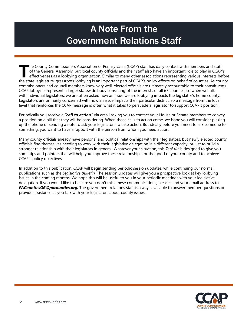# A Note From the Government Relations Staff

The County Commissioners Association of Pennsylvania (CCAP) staff has daily contact with members and staff of the General Assembly, but local county officials and their staff also have an important role to play in CCAP' ef of the General Assembly, but local county officials and their staff also have an important role to play in CCAP's effectiveness as a lobbying organization. Similar to many other associations representing various interests before the state legislature, grassroots lobbying is an important part of CCAP's policy efforts on behalf of counties. As county commissioners and council members know very well, elected officials are ultimately accountable to their constituents. CCAP lobbyists represent a larger statewide body consisting of the interests of all 67 counties, so when we talk with individual legislators, we are often asked how an issue we are lobbying impacts the legislator's home county. Legislators are primarily concerned with how an issue impacts their particular district, so a message from the local level that reinforces the CCAP message is often what it takes to persuade a legislator to support CCAP's position.

Periodically you receive a *"call to action"* via email asking you to contact your House or Senate members to convey a position on a bill that they will be considering. When those calls to action come, we hope you will consider picking up the phone or sending a note to ask your legislators to take action. But ideally before you need to ask someone for something, you want to have a rapport with the person from whom you need action.

Many county officials already have personal and political relationships with their legislators, but newly elected county officials find themselves needing to work with their legislative delegation in a different capacity, or just to build a stronger relationship with their legislators in general. Whatever your situation, this *Tool Kit* is designed to give you some tips and pointers that will help you improve these relationships for the good of your county and to achieve CCAP's policy objectives.

In addition to this publication, CCAP will begin sending periodic session updates, while continuing our normal publications such as the *Legislative Bulletin.* The session updates will give you a prospective look at key lobbying issues in the coming months. We hope this will be useful to you in your periodic meetings with your legislative delegation. If you would like to be sure you don't miss these communications, please send your email address to *PACountiesGR@pacounties.org.* The government relations staff is always available to answer member questions or provide assistance as you talk with your legislators about county issues.

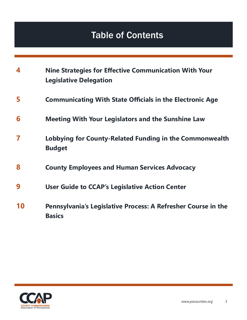# Table of Contents

| 4  | <b>Nine Strategies for Effective Communication With Your</b><br><b>Legislative Delegation</b> |
|----|-----------------------------------------------------------------------------------------------|
| 5  | <b>Communicating With State Officials in the Electronic Age</b>                               |
| 6  | <b>Meeting With Your Legislators and the Sunshine Law</b>                                     |
| 7  | Lobbying for County-Related Funding in the Commonwealth<br><b>Budget</b>                      |
| 8  | <b>County Employees and Human Services Advocacy</b>                                           |
| 9  | <b>User Guide to CCAP's Legislative Action Center</b>                                         |
| 10 | Pennsylvania's Legislative Process: A Refresher Course in the<br><b>Basics</b>                |

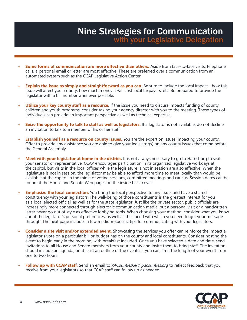### **Nine Strategies for Communication** with your Legislative Delegation

- **Some forms of communication are more effective than others.** Aside from face-to-face visits, telephone calls, a personal email or letter are most effective. These are preferred over a communication from an automated system such as the CCAP Legislative Action Center.
- **• Explain the issue as simply and straightforward as you can.** Be sure to include the local impact how this issue will affect your county, how much money it will cost local taxpayers, etc. Be prepared to provide the legislator with a bill number whenever possible.
- **• Utilize your key county staff as a resource.** If the issue you need to discuss impacts funding of county children and youth programs, consider taking your agency director with you to the meeting. These types of individuals can provide an important perspective as well as technical expertise.
- **• Seize the opportunity to talk to staff as well as legislators.** If a legislator is not available, do not decline an invitation to talk to a member of his or her staff.
- **• Establish yourself as a resource on county issues.** You are the expert on issues impacting your county. Offer to provide any assistance you are able to give your legislator(s) on any county issues that come before the General Assembly.
- **• Meet with your legislator at home in the district.** It is not always necessary to go to Harrisburg to visit your senator or representative. CCAP encourages participation in its organized legislative workdays at the capitol, but visits in the local offices while the legislature is not in session are also effective. When the legislature is not in session, the legislator may be able to afford more time to meet locally than would be available at the capitol in the midst of voting sessions, committee meetings and caucus. Session dates can be found at the House and Senate Web pages on the inside back cover.
- **• Emphasize the local connection.** You bring the local perspective to any issue, and have a shared constituency with your legislators. The well-being of those constituents is the greatest interest for you as a local elected official, as well as for the state legislator. Just like the private sector, public officials are increasingly more connected through electronic communication media, but a personal visit or a handwritten letter never go out of style as effective lobbying tools. When choosing your method, consider what you know about the legislator's personal preferences, as well as the speed with which you need to get your message through. The next page includes a few medium-specific tips for communicating with your legislators.
- **Consider a site visit and/or extended event.** Showcasing the services you offer can reinforce the impact a legislator's vote on a particular bill or budget has on the county and local constituents. Consider hosting the event to begin early in the morning, with breakfast included. Once you have selected a date and time, send invitations to all House and Senate members from your county and invite them to bring staff. The invitation should include an agenda, or at least an outline of the events. If you can, limit the length of your event from one to two hours.
- **• Follow up with CCAP staff.** Send an email to *PACountiesGR@pacounties.org* to reflect feedback that you receive from your legislators so that CCAP staff can follow up as needed.

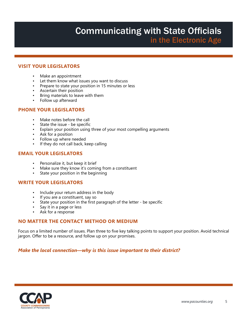# Communicating with State Officials in the Electronic Age

#### **VISIT YOUR LEGISLATORS**

- Make an appointment
- Let them know what issues you want to discuss
- Prepare to state your position in 15 minutes or less
- Ascertain their position
- Bring materials to leave with them
- Follow up afterward

#### **PHONE YOUR LEGISLATORS**

- Make notes before the call
- State the issue be specific
- Explain your position using three of your most compelling arguments
- Ask for a position
- Follow up where needed
- If they do not call back, keep calling

#### **EMAIL YOUR LEGISLATORS**

- Personalize it, but keep it brief
- Make sure they know it's coming from a constituent
- State your position in the beginning

#### **WRITE YOUR LEGISLATORS**

- Include your return address in the body
- If you are a constituent, say so
- State your position in the first paragraph of the letter be specific
- Say it in a page or less<br>• Ask for a response
- Ask for a response

#### **NO MATTER THE CONTACT METHOD OR MEDIUM**

Focus on a limited number of issues. Plan three to five key talking points to support your position. Avoid technical jargon. Offer to be a resource, and follow up on your promises.

*Make the local connection—why is this issue important to their district?* 

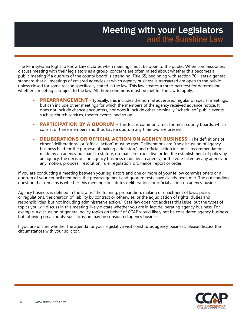### **Meeting with your Legislators** and the Sunshine Law

The Pennsylvania Right to Know Law dictates when meetings must be open to the public. When commissioners discuss meeting with their legislators as a group, concerns are often raised about whether this becomes a public meeting if a quorum of the county board is attending. Title 65, beginning with section 701, sets a general standard that all meetings of covered agencies at which agency business is transacted are open to the public, unless closed for some reason specifically stated in the law. This law creates a three-part test for determining whether a meeting is subject to the law. All three conditions must be met for the law to apply:

- **PREARRANGEMENT** Typically, this includes the normal advertised regular or special meetings, but can include other meetings for which the members of the agency received advance notice. It does not include chance encounters, nor does it include other nominally "scheduled" public events such as church services, theater events, and so on.
- **PARTICIPATION BY A QUORUM** This test is commonly met for most county boards, which consist of three members and thus have a quorum any time two are present.
- **• DELIBERATIONS OR OFFICIAL ACTION ON AGENCY BUSINESS** The definitions of either "deliberations" or "official action" must be met. Deliberations are "the discussion of agency business held for the purpose of making a decision," and official action includes: recommendations made by an agency pursuant to statute, ordinance or executive order; the establishment of policy by an agency; the decisions on agency business made by an agency; or the vote taken by any agency on any motion, proposal, resolution, rule, regulation, ordinance, report or order.

If you are conducting a meeting between your legislators and one or more of your fellow commissioners or a quorum of your council members, the prearrangement and quorum tests have clearly been met. The outstanding question that remains is whether this meeting constitutes deliberations or official action on agency business.

Agency business is defined in the law as "the framing, preparation, making or enactment of laws, policy or regulations, the creation of liability by contract or otherwise, or the adjudication of rights, duties and responsibilities, but not including administrative action." Case law does not address this issue, but the types of topics you will discuss in this meeting likely dictate whether you are in fact deliberating agency business. For example, a discussion of general policy topics on behalf of CCAP would likely not be considered agency business, but lobbying on a county-specific issue may be considered agency business.

If you are unsure whether the agenda for your legislative visit constitutes agency business, please discuss the circumstances with your solicitor.

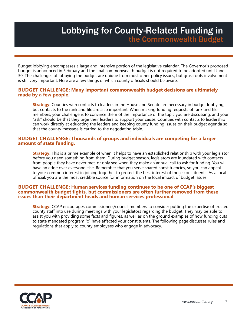### Lobbying for County-Related Funding in the Commonwealth Budget

Budget lobbying encompasses a large and intensive portion of the legislative calendar. The Governor's proposed budget is announced in February and the final commonwealth budget is not required to be adopted until June 30. The challenges of lobbying the budget are unique from most other policy issues, but grassroots involvement is still very important. Here are a few things of which county officials should be aware:

#### **BUDGET CHALLENGE: Many important commonwealth budget decisions are ultimately made by a few people.**

**Strategy:** Counties with contacts to leaders in the House and Senate are necessary in budget lobbying, but contacts to the rank and file are also important. When making funding requests of rank and file members, your challenge is to convince them of the importance of the topic you are discussing, and your "ask" should be that they urge their leaders to support your cause. Counties with contacts to leadership can work directly at educating the leaders and keeping county funding issues on their budget agenda so that the county message is carried to the negotiating table.

#### **BUDGET CHALLENGE: Thousands of groups and individuals are competing for a larger amount of state funding.**

**Strategy:** This is a prime example of when it helps to have an established relationship with your legislator before you need something from them. During budget season, legislators are inundated with contacts from people they have never met, or only see when they make an annual call to ask for funding. You will have an edge over everyone else. Remember that you serve shared constituencies, so you can appeal to your common interest in joining together to protect the best interest of those constituents. As a local official, you are the most credible source for information on the local impact of budget issues.

#### **BUDGET CHALLENGE: Human services funding continues to be one of CCAP's biggest commonwealth budget fights, but commissioners are often further removed from these issues than their department heads and human services professional***.*

**Strategy:** CCAP encourages commissioners/council members to consider putting the expertise of trusted county staff into use during meetings with your legislators regarding the budget. They may be able to assist you with providing some facts and figures, as well as on the ground examples of how funding cuts to state mandated program "x" have affected your constituents. The following page discusses rules and regulations that apply to county employees who engage in advocacy.

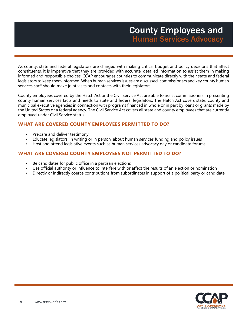As county, state and federal legislators are charged with making critical budget and policy decisions that affect constituents, it is imperative that they are provided with accurate, detailed information to assist them in making informed and responsible choices. CCAP encourages counties to communicate directly with their state and federal legislators to keep them informed. When human services issues are discussed, commissioners and key county human services staff should make joint visits and contacts with their legislators.

County employees covered by the Hatch Act or the Civil Service Act are able to assist commissioners in presenting county human services facts and needs to state and federal legislators. The Hatch Act covers state, county and municipal executive agencies in connection with programs financed in whole or in part by loans or grants made by the United States or a federal agency. The Civil Service Act covers all state and county employees that are currently employed under Civil Service status.

#### **WHAT ARE COVERED COUNTY EMPLOYEES PERMITTED TO DO?**

- Prepare and deliver testimony
- Educate legislators, in writing or in person, about human services funding and policy issues
- Host and attend legislative events such as human services advocacy day or candidate forums

#### **WHAT ARE COVERED COUNTY EMPLOYEES NOT PERMITTED TO DO?**

- Be candidates for public office in a partisan elections
- Use official authority or influence to interfere with or affect the results of an election or nomination
- Directly or indirectly coerce contributions from subordinates in support of a political party or candidate

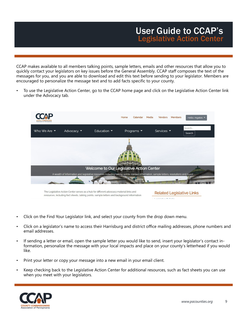CCAP makes available to all members talking points, sample letters, emails and other resources that allow you to quickly contact your legislators on key issues before the General Assembly. CCAP staff composes the text of the messages for you, and you are able to download and edit this text before sending to your legislator. Members are encouraged to personalize the message text and to add facts specific to your county.

• To use the Legislative Action Center, go to the CCAP home page and click on the Legislative Action Center link under the Advocacy tab.



- Click on the Find Your Legislator link, and select your county from the drop down menu.
- Click on a legislator's name to access their Harrisburg and district office mailing addresses, phone numbers and email addresses.
- If sending a letter or email, open the sample letter you would like to send, insert your legislator's contact information, personalize the message with your local impacts and place on your county's letterhead if you would like.
- Print your letter or copy your message into a new email in your email client.
- Keep checking back to the Legislative Action Center for additional resources, such as fact sheets you can use when you meet with your legislators.

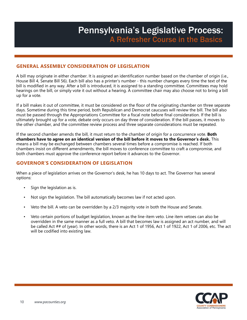### Pennsylvania's Legislative Process: A Refresher Course in the Basics

#### **GENERAL ASSEMBLY CONSIDERATION OF LEGISLATION**

A bill may originate in either chamber. It is assigned an identification number based on the chamber of origin (i.e., House Bill 4, Senate Bill 56). Each bill also has a printer's number - this number changes every time the text of the bill is modified in any way. After a bill is introduced, it is assigned to a standing committee. Committees may hold hearings on the bill, or simply vote it out without a hearing. A committee chair may also choose not to bring a bill up for a vote.

If a bill makes it out of committee, it must be considered on the floor of the originating chamber on three separate days. Sometime during this time period, both Republican and Democrat caucuses will review the bill. The bill also must be passed through the Appropriations Committee for a fiscal note before final consideration. If the bill is ultimately brought up for a vote, debate only occurs on day three of consideration. If the bill passes, it moves to the other chamber, and the committee review process and three separate considerations must be repeated.

If the second chamber amends the bill, it must return to the chamber of origin for a concurrence vote. **Both chambers have to agree on an identical version of the bill before it moves to the Governor's desk.** This means a bill may be exchanged between chambers several times before a compromise is reached. If both chambers insist on different amendments, the bill moves to conference committee to craft a compromise, and both chambers must approve the conference report before it advances to the Governor.

#### **GOVERNOR'S CONSIDERATION OF LEGISLATION**

When a piece of legislation arrives on the Governor's desk, he has 10 days to act. The Governor has several options:

- Sign the legislation as is.
- Not sign the legislation. The bill automatically becomes law if not acted upon.
- Veto the bill. A veto can be overridden by a 2/3 majority vote in both the House and Senate.
- Veto certain portions of budget legislation, known as the line-item veto. Line item vetoes can also be overridden in the same manner as a full veto. A bill that becomes law is assigned an act number, and will be called Act ## of (year). In other words, there is an Act 1 of 1956, Act 1 of 1922, Act 1 of 2006, etc. The act will be codified into existing law.

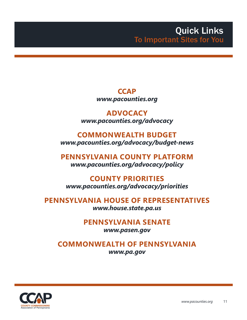### **CCAP** *www.pacounties.org*

**ADVOCACY** *www.pacounties.org/advocacy*

### **COMMONWEALTH BUDGET**  *www.pacounties.org/advocacy/budget-news*

**PENNSYLVANIA COUNTY PLATFORM** *www.pacounties.org/advocacy/policy*

### **COUNTY PRIORITIES**  *www.pacounties.org/advocacy/priorities*

**PENNSYLVANIA HOUSE OF REPRESENTATIVES**  *www.house.state.pa.us*

### **PENNSYLVANIA SENATE**

*www.pasen.gov*

### **COMMONWEALTH OF PENNSYLVANIA**

*www.pa.gov*